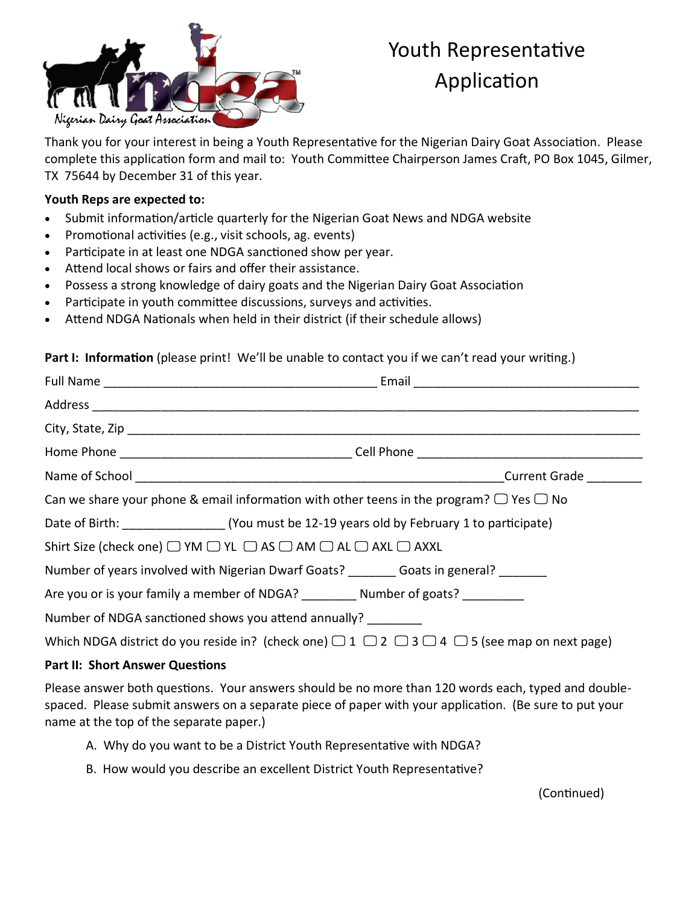

# Youth Representative **Application**

Thank you for your interest in being a Youth Representative for the Nigerian Dairy Goat Association. Please complete this application form and mail to: Youth Committee Chairperson James Craft, PO Box 1045, Gilmer, TX 75644 by December 31 of this year.

## **Youth Reps are expected to:**

- Submit information/article quarterly for the Nigerian Goat News and NDGA website
- Promotional activities (e.g., visit schools, ag. events)
- Participate in at least one NDGA sanctioned show per year.
- Attend local shows or fairs and offer their assistance.
- Possess a strong knowledge of dairy goats and the Nigerian Dairy Goat Association
- Participate in youth committee discussions, surveys and activities.
- Attend NDGA Nationals when held in their district (if their schedule allows)

## Part I: Information (please print! We'll be unable to contact you if we can't read your writing.)

|                                                                                                                       | Can we share your phone & email information with other teens in the program? $\Box$ Yes $\Box$ No |  |  |  |
|-----------------------------------------------------------------------------------------------------------------------|---------------------------------------------------------------------------------------------------|--|--|--|
|                                                                                                                       |                                                                                                   |  |  |  |
| Shirt Size (check one) $\Box$ YM $\Box$ YL $\Box$ AS $\Box$ AM $\Box$ AL $\Box$ AXL $\Box$ AXXL                       |                                                                                                   |  |  |  |
|                                                                                                                       | Number of years involved with Nigerian Dwarf Goats? ________ Goats in general? _______            |  |  |  |
|                                                                                                                       | Are you or is your family a member of NDGA? Number of goats?                                      |  |  |  |
|                                                                                                                       | Number of NDGA sanctioned shows you attend annually?                                              |  |  |  |
| Which NDGA district do you reside in? (check one) $\Box$ 1 $\Box$ 2 $\Box$ 3 $\Box$ 4 $\Box$ 5 (see map on next page) |                                                                                                   |  |  |  |
|                                                                                                                       |                                                                                                   |  |  |  |

#### **Part II: Short Answer Questions**

Please answer both questions. Your answers should be no more than 120 words each, typed and doublespaced. Please submit answers on a separate piece of paper with your application. (Be sure to put your name at the top of the separate paper.)

- A. Why do you want to be a District Youth Representative with NDGA?
- B. How would you describe an excellent District Youth Representative?

(Continued)